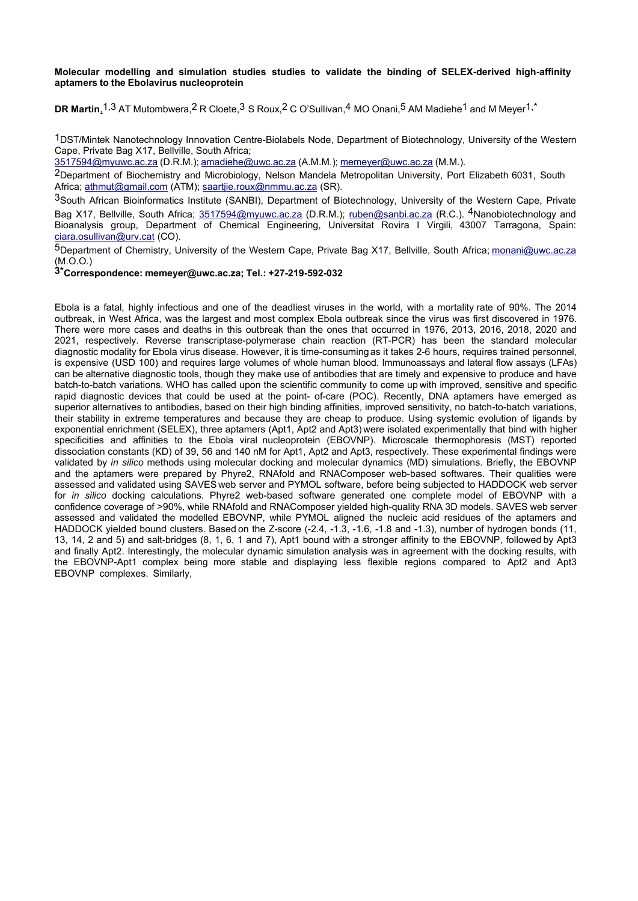## **Molecular modelling and simulation studies studies to validate the binding of SELEX-derived high-affinity aptamers to the Ebolavirus nucleoprotein**

 ${\sf DR}$  **Martin,** $^{1,3}$  AT Mutombwera, $^{2}$  R Cloete, $^{3}$  S Roux, $^{2}$  C O'Sullivan, $^{4}$  MO Onani, $^{5}$  AM Madiehe $^{1}$  and M Meyer $^{1,^*}$ 

1DST/Mintek Nanotechnology Innovation Centre-Biolabels Node, Department of Biotechnology, University of the Western Cape, Private Bag X17, Bellville, South Africa;

[3517594@myuwc.ac.za](mailto:3517594@myuwc.ac.za) (D.R.M.); [amadiehe@uwc.ac.za](mailto:amadiehe@uwc.ac.za) (A.M.M.); [memeyer@uwc.ac.za](mailto:memeyer@uwc.ac.za) (M.M.).

2Department of Biochemistry and Microbiology, Nelson Mandela Metropolitan University, Port Elizabeth 6031, South Africa; [athmut@gmail.com](mailto:athmut@gmail.com) (ATM); [saartjie.roux@nmmu.ac.za](mailto:saartjie.roux@nmmu.ac.za) (SR).

3South African Bioinformatics Institute (SANBI), Department of Biotechnology, University of the Western Cape, Private Bag X17, Bellville, South Africa; [3517594@myuwc.ac.za](mailto:3517594@myuwc.ac.za) (D.R.M.); [ruben@sanbi.ac.za](mailto:ruben@sanbi.ac.za) (R.C.). <sup>4</sup>Nanobiotechnology and Bioanalysis group, Department of Chemical Engineering, Universitat Rovira I Virgili, 43007 Tarragona, Spain: [ciara.osullivan@urv.cat](mailto:ciara.osullivan@urv.cat) (CO).

5Department of Chemistry, University of the Western Cape, Private Bag X17, Bellville, South Africa; [monani@uwc.ac.za](mailto:monani@uwc.ac.za) (M.O.O.)

## **3\*Correspondence: memeyer@uwc.ac.za; Tel.: +27-219-592-032**

Ebola is a fatal, highly infectious and one of the deadliest viruses in the world, with a mortality rate of 90%. The 2014 outbreak, in West Africa, was the largest and most complex Ebola outbreak since the virus was first discovered in 1976. There were more cases and deaths in this outbreak than the ones that occurred in 1976, 2013, 2016, 2018, 2020 and 2021, respectively. Reverse transcriptase-polymerase chain reaction (RT-PCR) has been the standard molecular diagnostic modality for Ebola virus disease. However, it is time-consumingas it takes 2-6 hours, requires trained personnel, is expensive (USD 100) and requires large volumes of whole human blood. Immunoassays and lateral flow assays (LFAs) can be alternative diagnostic tools, though they make use of antibodies that are timely and expensive to produce and have batch-to-batch variations. WHO has called upon the scientific community to come up with improved, sensitive and specific rapid diagnostic devices that could be used at the point- of-care (POC). Recently, DNA aptamers have emerged as superior alternatives to antibodies, based on their high binding affinities, improved sensitivity, no batch-to-batch variations, their stability in extreme temperatures and because they are cheap to produce. Using systemic evolution of ligands by exponential enrichment (SELEX), three aptamers (Apt1, Apt2 and Apt3) were isolated experimentally that bind with higher specificities and affinities to the Ebola viral nucleoprotein (EBOVNP). Microscale thermophoresis (MST) reported dissociation constants (KD) of 39, 56 and 140 nM for Apt1, Apt2 and Apt3, respectively. These experimental findings were validated by *in silico* methods using molecular docking and molecular dynamics (MD) simulations. Briefly, the EBOVNP and the aptamers were prepared by Phyre2, RNAfold and RNAComposer web-based softwares. Their qualities were assessed and validated using SAVES web server and PYMOL software, before being subjected to HADDOCK web server for *in silico* docking calculations. Phyre2 web-based software generated one complete model of EBOVNP with a confidence coverage of >90%, while RNAfold and RNAComposer yielded high-quality RNA 3D models. SAVES web server assessed and validated the modelled EBOVNP, while PYMOL aligned the nucleic acid residues of the aptamers and HADDOCK yielded bound clusters. Based on the Z-score (-2.4, -1.3, -1.6, -1.8 and -1.3), number of hydrogen bonds (11, 13, 14, 2 and 5) and salt-bridges (8, 1, 6, 1 and 7), Apt1 bound with a stronger affinity to the EBOVNP, followed by Apt3 and finally Apt2. Interestingly, the molecular dynamic simulation analysis was in agreement with the docking results, with the EBOVNP-Apt1 complex being more stable and displaying less flexible regions compared to Apt2 and Apt3 EBOVNP complexes. Similarly,